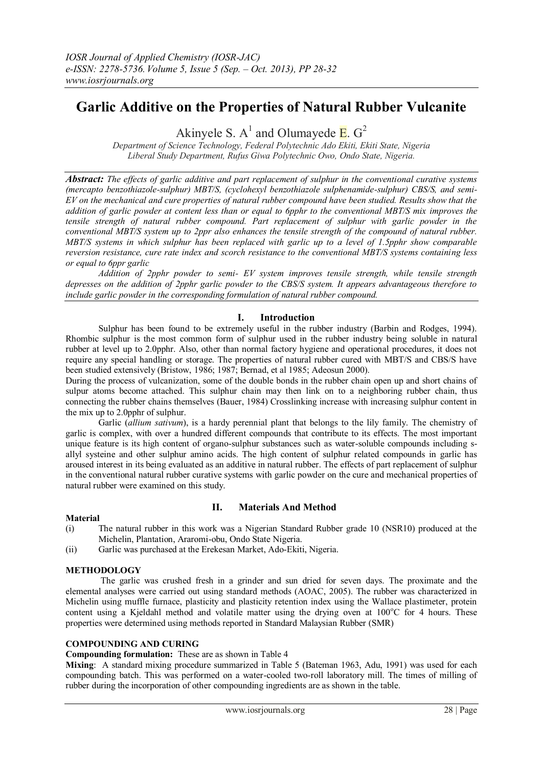# **Garlic Additive on the Properties of Natural Rubber Vulcanite**

Akinyele S.  $A^1$  and Olumayede E.  $G^2$ 

*Department of Science Technology, Federal Polytechnic Ado Ekiti, Ekiti State, Nigeria Liberal Study Department, Rufus Giwa Polytechnic Owo, Ondo State, Nigeria.*

*Abstract: The effects of garlic additive and part replacement of sulphur in the conventional curative systems (mercapto benzothiazole-sulphur) MBT/S, (cyclohexyl benzothiazole sulphenamide-sulphur) CBS/S, and semi-EV on the mechanical and cure properties of natural rubber compound have been studied. Results show that the addition of garlic powder at content less than or equal to 6pphr to the conventional MBT/S mix improves the tensile strength of natural rubber compound. Part replacement of sulphur with garlic powder in the conventional MBT/S system up to 2ppr also enhances the tensile strength of the compound of natural rubber. MBT/S systems in which sulphur has been replaced with garlic up to a level of 1.5pphr show comparable reversion resistance, cure rate index and scorch resistance to the conventional MBT/S systems containing less or equal to 6ppr garlic*

*Addition of 2pphr powder to semi- EV system improves tensile strength, while tensile strength depresses on the addition of 2pphr garlic powder to the CBS/S system. It appears advantageous therefore to include garlic powder in the corresponding formulation of natural rubber compound.*

# **I. Introduction**

Sulphur has been found to be extremely useful in the rubber industry (Barbin and Rodges, 1994). Rhombic sulphur is the most common form of sulphur used in the rubber industry being soluble in natural rubber at level up to 2.0pphr. Also, other than normal factory hygiene and operational procedures, it does not require any special handling or storage. The properties of natural rubber cured with MBT/S and CBS/S have been studied extensively (Bristow, 1986; 1987; Bernad, et al 1985; Adeosun 2000).

During the process of vulcanization, some of the double bonds in the rubber chain open up and short chains of sulpur atoms become attached. This sulphur chain may then link on to a neighboring rubber chain, thus connecting the rubber chains themselves (Bauer, 1984) Crosslinking increase with increasing sulphur content in the mix up to 2.0pphr of sulphur.

Garlic (*allium sativum*), is a hardy perennial plant that belongs to the lily family. The chemistry of garlic is complex, with over a hundred different compounds that contribute to its effects. The most important unique feature is its high content of organo-sulphur substances such as water-soluble compounds including sallyl systeine and other sulphur amino acids. The high content of sulphur related compounds in garlic has aroused interest in its being evaluated as an additive in natural rubber. The effects of part replacement of sulphur in the conventional natural rubber curative systems with garlic powder on the cure and mechanical properties of natural rubber were examined on this study.

# **II. Materials And Method**

# **Material**

- (i) The natural rubber in this work was a Nigerian Standard Rubber grade 10 (NSR10) produced at the Michelin, Plantation, Araromi-obu, Ondo State Nigeria.
- (ii) Garlic was purchased at the Erekesan Market, Ado-Ekiti, Nigeria.

#### **METHODOLOGY**

The garlic was crushed fresh in a grinder and sun dried for seven days. The proximate and the elemental analyses were carried out using standard methods (AOAC, 2005). The rubber was characterized in Michelin using muffle furnace, plasticity and plasticity retention index using the Wallace plastimeter, protein content using a Kjeldahl method and volatile matter using the drying oven at 100°C for 4 hours. These properties were determined using methods reported in Standard Malaysian Rubber (SMR)

# **COMPOUNDING AND CURING**

## **Compounding formulation:** These are as shown in Table 4

**Mixing**: A standard mixing procedure summarized in Table 5 (Bateman 1963, Adu, 1991) was used for each compounding batch. This was performed on a water-cooled two-roll laboratory mill. The times of milling of rubber during the incorporation of other compounding ingredients are as shown in the table.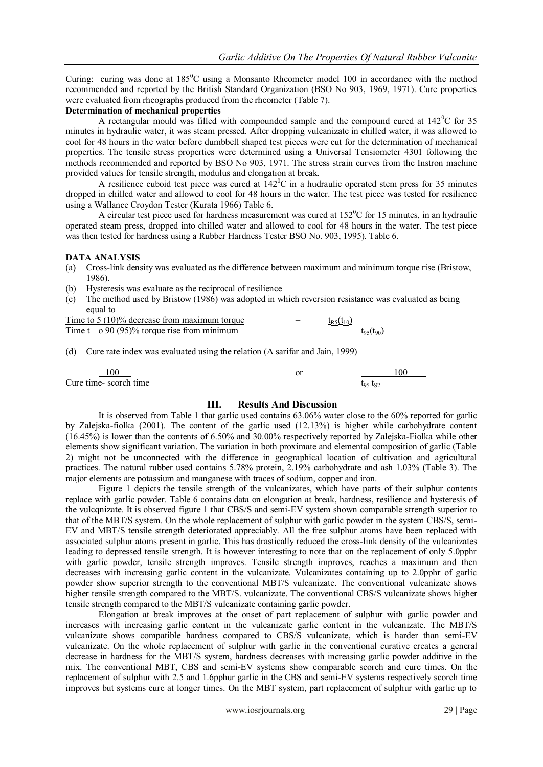Curing: curing was done at  $185^{\circ}$ C using a Monsanto Rheometer model 100 in accordance with the method recommended and reported by the British Standard Organization (BSO No 903, 1969, 1971). Cure properties were evaluated from rheographs produced from the rheometer (Table 7).

# **Determination of mechanical properties**

A rectangular mould was filled with compounded sample and the compound cured at  $142^{\circ}$ C for 35 minutes in hydraulic water, it was steam pressed. After dropping vulcanizate in chilled water, it was allowed to cool for 48 hours in the water before dumbbell shaped test pieces were cut for the determination of mechanical properties. The tensile stress properties were determined using a Universal Tensiometer 4301 following the methods recommended and reported by BSO No 903, 1971. The stress strain curves from the Instron machine provided values for tensile strength, modulus and elongation at break.

A resilience cuboid test piece was cured at  $142^{\circ}$ C in a hudraulic operated stem press for 35 minutes dropped in chilled water and allowed to cool for 48 hours in the water. The test piece was tested for resilience using a Wallance Croydon Tester (Kurata 1966) Table 6.

A circular test piece used for hardness measurement was cured at  $152^{\circ}$ C for 15 minutes, in an hydraulic operated steam press, dropped into chilled water and allowed to cool for 48 hours in the water. The test piece was then tested for hardness using a Rubber Hardness Tester BSO No. 903, 1995). Table 6.

# **DATA ANALYSIS**

- (a) Cross-link density was evaluated as the difference between maximum and minimum torque rise (Bristow, 1986).
- (b) Hysteresis was evaluate as the reciprocal of resilience
- (c) The method used by Bristow (1986) was adopted in which reversion resistance was evaluated as being equal to

| Time to $5(10)\%$ decrease from maximum torque      | - | $t_{R5}(t_{10})$ |                  |
|-----------------------------------------------------|---|------------------|------------------|
| Time $t \approx 90 (95)\%$ torque rise from minimum |   |                  | $t_{95}(t_{90})$ |

(d) Cure rate index was evaluated using the relation (A sarifar and Jain, 1999)

| 00                    | ОI | 00                  |
|-----------------------|----|---------------------|
| Cure time-scorch time |    | $t_{95}$ - $t_{S2}$ |

# **III. Results And Discussion**

It is observed from Table 1 that garlic used contains 63.06% water close to the 60% reported for garlic by Zalejska-fiolka (2001). The content of the garlic used (12.13%) is higher while carbohydrate content (16.45%) is lower than the contents of 6.50% and 30.00% respectively reported by Zalejska-Fiolka while other elements show significant variation. The variation in both proximate and elemental composition of garlic (Table 2) might not be unconnected with the difference in geographical location of cultivation and agricultural practices. The natural rubber used contains 5.78% protein, 2.19% carbohydrate and ash 1.03% (Table 3). The major elements are potassium and manganese with traces of sodium, copper and iron.

Figure 1 depicts the tensile strength of the vulcanizates, which have parts of their sulphur contents replace with garlic powder. Table 6 contains data on elongation at break, hardness, resilience and hysteresis of the vulcqnizate. It is observed figure 1 that CBS/S and semi-EV system shown comparable strength superior to that of the MBT/S system. On the whole replacement of sulphur with garlic powder in the system CBS/S, semi-EV and MBT/S tensile strength deteriorated appreciably. All the free sulphur atoms have been replaced with associated sulphur atoms present in garlic. This has drastically reduced the cross-link density of the vulcanizates leading to depressed tensile strength. It is however interesting to note that on the replacement of only 5.0pphr with garlic powder, tensile strength improves. Tensile strength improves, reaches a maximum and then decreases with increasing garlic content in the vulcanizate. Vulcanizates containing up to 2.0pphr of garlic powder show superior strength to the conventional MBT/S vulcanizate. The conventional vulcanizate shows higher tensile strength compared to the MBT/S. vulcanizate. The conventional CBS/S vulcanizate shows higher tensile strength compared to the MBT/S vulcanizate containing garlic powder.

Elongation at break improves at the onset of part replacement of sulphur with garlic powder and increases with increasing garlic content in the vulcanizate garlic content in the vulcanizate. The MBT/S vulcanizate shows compatible hardness compared to CBS/S vulcanizate, which is harder than semi-EV vulcanizate. On the whole replacement of sulphur with garlic in the conventional curative creates a general decrease in hardness for the MBT/S system, hardness decreases with increasing garlic powder additive in the mix. The conventional MBT, CBS and semi-EV systems show comparable scorch and cure times. On the replacement of sulphur with 2.5 and 1.6pphur garlic in the CBS and semi-EV systems respectively scorch time improves but systems cure at longer times. On the MBT system, part replacement of sulphur with garlic up to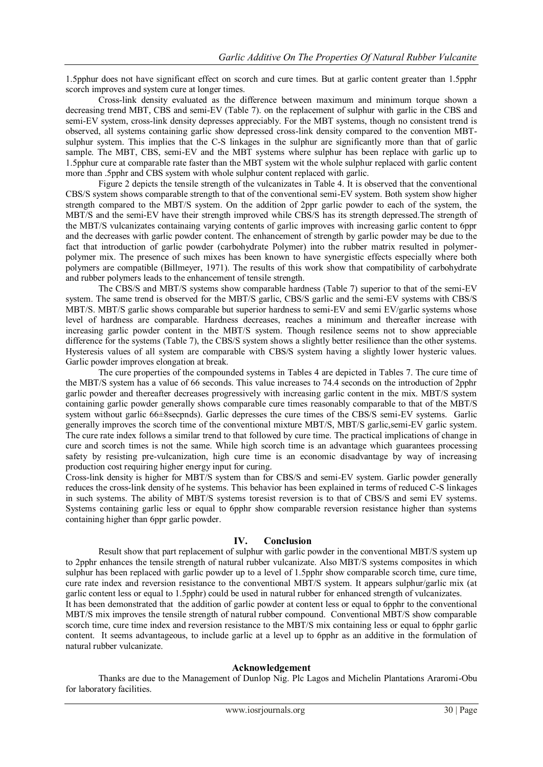1.5pphur does not have significant effect on scorch and cure times. But at garlic content greater than 1.5pphr scorch improves and system cure at longer times.

Cross-link density evaluated as the difference between maximum and minimum torque shown a decreasing trend MBT, CBS and semi-EV (Table 7). on the replacement of sulphur with garlic in the CBS and semi-EV system, cross-link density depresses appreciably. For the MBT systems, though no consistent trend is observed, all systems containing garlic show depressed cross-link density compared to the convention MBTsulphur system. This implies that the C-S linkages in the sulphur are significantly more than that of garlic sample. The MBT, CBS, semi-EV and the MBT systems where sulphur has been replace with garlic up to 1.5pphur cure at comparable rate faster than the MBT system wit the whole sulphur replaced with garlic content more than .5pphr and CBS system with whole sulphur content replaced with garlic.

Figure 2 depicts the tensile strength of the vulcanizates in Table 4. It is observed that the conventional CBS/S system shows comparable strength to that of the conventional semi-EV system. Both system show higher strength compared to the MBT/S system. On the addition of 2ppr garlic powder to each of the system, the MBT/S and the semi-EV have their strength improved while CBS/S has its strength depressed.The strength of the MBT/S vulcanizates containaing varying contents of garlic improves with increasing garlic content to 6ppr and the decreases with garlic powder content. The enhancement of strength by garlic powder may be due to the fact that introduction of garlic powder (carbohydrate Polymer) into the rubber matrix resulted in polymerpolymer mix. The presence of such mixes has been known to have synergistic effects especially where both polymers are compatible (Billmeyer, 1971). The results of this work show that compatibility of carbohydrate and rubber polymers leads to the enhancement of tensile strength.

The CBS/S and MBT/S systems show comparable hardness (Table 7) superior to that of the semi-EV system. The same trend is observed for the MBT/S garlic, CBS/S garlic and the semi-EV systems with CBS/S MBT/S. MBT/S garlic shows comparable but superior hardness to semi-EV and semi EV/garlic systems whose level of hardness are comparable. Hardness decreases, reaches a minimum and thereafter increase with increasing garlic powder content in the MBT/S system. Though resilence seems not to show appreciable difference for the systems (Table 7), the CBS/S system shows a slightly better resilience than the other systems. Hysteresis values of all system are comparable with CBS/S system having a slightly lower hysteric values. Garlic powder improves elongation at break.

The cure properties of the compounded systems in Tables 4 are depicted in Tables 7. The cure time of the MBT/S system has a value of 66 seconds. This value increases to 74.4 seconds on the introduction of 2pphr garlic powder and thereafter decreases progressively with increasing garlic content in the mix. MBT/S system containing garlic powder generally shows comparable cure times reasonably comparable to that of the MBT/S system without garlic 66±8secpnds). Garlic depresses the cure times of the CBS/S semi-EV systems. Garlic generally improves the scorch time of the conventional mixture MBT/S, MBT/S garlic,semi-EV garlic system. The cure rate index follows a similar trend to that followed by cure time. The practical implications of change in cure and scorch times is not the same. While high scorch time is an advantage which guarantees processing safety by resisting pre-vulcanization, high cure time is an economic disadvantage by way of increasing production cost requiring higher energy input for curing.

Cross-link density is higher for MBT/S system than for CBS/S and semi-EV system. Garlic powder generally reduces the cross-link density of he systems. This behavior has been explained in terms of reduced C-S linkages in such systems. The ability of MBT/S systems toresist reversion is to that of CBS/S and semi EV systems. Systems containing garlic less or equal to 6pphr show comparable reversion resistance higher than systems containing higher than 6ppr garlic powder.

#### **IV. Conclusion**

Result show that part replacement of sulphur with garlic powder in the conventional MBT/S system up to 2pphr enhances the tensile strength of natural rubber vulcanizate. Also MBT/S systems composites in which sulphur has been replaced with garlic powder up to a level of 1.5pphr show comparable scorch time, cure time, cure rate index and reversion resistance to the conventional MBT/S system. It appears sulphur/garlic mix (at garlic content less or equal to 1.5pphr) could be used in natural rubber for enhanced strength of vulcanizates. It has been demonstrated that the addition of garlic powder at content less or equal to 6pphr to the conventional MBT/S mix improves the tensile strength of natural rubber compound. Conventional MBT/S show comparable

scorch time, cure time index and reversion resistance to the MBT/S mix containing less or equal to 6pphr garlic content. It seems advantageous, to include garlic at a level up to 6pphr as an additive in the formulation of natural rubber vulcanizate.

#### **Acknowledgement**

Thanks are due to the Management of Dunlop Nig. Plc Lagos and Michelin Plantations Araromi-Obu for laboratory facilities.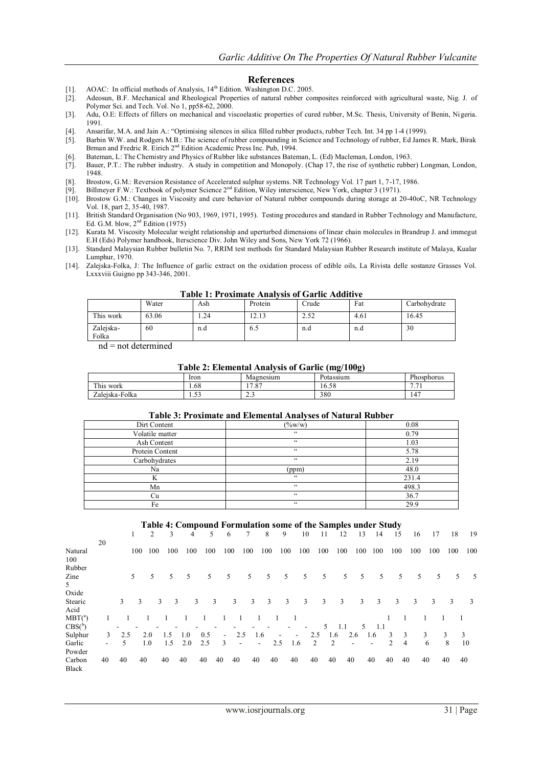#### **References**

- [1]. AOAC: In official methods of Analysis,  $14<sup>th</sup>$  Edition. Washington D.C. 2005.
- [2]. Adeosun, B.F. Mechanical and Rheological Properties of natural rubber composites reinforced with agricultural waste, Nig. J. of Polymer Sci. and Tech. Vol. No 1, pp58-62, 2000.
- [3]. Adu, O.E: Effects of fillers on mechanical and viscoelastic properties of cured rubber, M.Sc. Thesis, University of Benin, Nigeria. 1991.
- [4]. Ansarifar, M.A. and Jain A.: "Optimising silences in silica filled rubber products, rubber Tech. Int. 34 pp 1-4 (1999).
- [5]. Barbin W.W. and Rodgers M.B.: The science of rubber compounding in Science and Technology of rubber, Ed James R. Mark, Birak Brman and Fredric R. Eirich 2nd Edition Academic Press Inc. Pub, 1994.
- [6]. Bateman, L: The Chemistry and Physics of Rubber like substances Bateman, L. (Ed) Macleman, London, 1963.
- [7]. Bauer, P.T.: The rubber industry. A study in competition and Monopoly. (Chap 17, the rise of synthetic rubber) Longman, London, 1948.
- [8]. Brostow, G.M.: Reversion Resistance of Accelerated sulphur systems. NR Technology Vol. 17 part 1, 7-17, 1986.<br>[9]. Billmeyer F.W.: Textbook of polymer Science 2<sup>nd</sup> Edition, Wiley interscience, New York, chapter 3 (19
- Billmeyer F.W.: Textbook of polymer Science 2<sup>nd</sup> Edition, Wiley interscience, New York, chapter 3 (1971).
- [10]. Brostow G.M.: Changes in Viscosity and cure behavior of Natural rubber compounds during storage at 20-40oC, NR Technology Vol. 18, part 2, 35-40, 1987.
- [11]. British Standard Organisation (No 903, 1969, 1971, 1995). Testing procedures and standard in Rubber Technology and Manufacture, Ed. G.M. blow,  $2<sup>nd</sup>$  Edition (1975)
- [12]. Kurata M. Viscosity Molecular weight relationship and uperturbed dimensions of linear chain molecules in Brandrup J. and immegut E.H (Eds) Polymer handbook, Iterscience Div. John Wiley and Sons, New York 72 (1966).
- [13]. Standard Malaysian Rubber bulletin No. 7, RRIM test methods for Standard Malaysian Rubber Research institute of Malaya, Kualar Lumphur, 1970.
- [14]. Zalejska-Folka, J: The Influence of garlic extract on the oxidation process of edible oils, La Rivista delle sostanze Grasses Vol. Lxxxviii Guigno pp 343-346, 2001.

| Table 1. Froximate Analysis of Garne Additive |                                                     |     |         |       |      |              |  |  |  |  |  |  |
|-----------------------------------------------|-----------------------------------------------------|-----|---------|-------|------|--------------|--|--|--|--|--|--|
|                                               | Water                                               | Ash | Protein | Crude | Fat  | Carbohydrate |  |  |  |  |  |  |
| This work                                     | 63.06                                               | .24 | 12.13   | 2.52  | 4.61 | 16.45        |  |  |  |  |  |  |
| Zalejska-<br>Folka                            | 60                                                  | n.d | 6.5     | n.d   | n.d  | 30           |  |  |  |  |  |  |
|                                               | المتحدد والمتحدث والمتحامل المتحدث والمتحدث المتحدد |     |         |       |      |              |  |  |  |  |  |  |

#### **Table 1: Proximate Analysis of Garlic Additive**

nd = not determined

#### **Table 2: Elemental Analysis of Garlic (mg/100g)**

|                                   |                               |                           | $\cdot$               |                                |
|-----------------------------------|-------------------------------|---------------------------|-----------------------|--------------------------------|
|                                   | Iron                          | Magnesium                 | Potassium             | Phosphorus                     |
| T <sub>1</sub><br>work<br>r his ' | 1.68                          | 17. OZ<br>$\cdot$ $\circ$ | $\epsilon$ o<br>16.58 | ∽<br>$\sim$<br>$\cdot$ $\cdot$ |
| Zaleiska-Folka                    | $\sim$ $\sim$<br>. . <i>.</i> | ~<br>ر . ے                | 380                   | $.1-$                          |

#### **Table 3: Proximate and Elemental Analyses of Natural Rubber**

| Dirt Content    | $(\frac{9}{6}W/W)$ | 0.08  |
|-----------------|--------------------|-------|
| Volatile matter | $\epsilon$         | 0.79  |
| Ash Content     | $\zeta\,\zeta$     | 1.03  |
| Protein Content | $\zeta\,\zeta$     | 5.78  |
| Carbohydrates   | $\zeta$ $\zeta$    | 2.19  |
| Na              | (ppm)              | 48.0  |
|                 | $\zeta$ $\zeta$    | 231.4 |
| Mn              | $\zeta$ $\zeta$    | 498.3 |
| Cu              | $\zeta\,\zeta$     | 36.7  |
| Fe              | $\zeta\,\zeta$     | 29.9  |

#### **Table 4: Compound Formulation some of the Samples under Study**

|                  |    |     | 1   | 2   | 3   | 4   | 5   |        | 6                        | 7   | 8                        | 9   |                          | 10  | 11  | 12  |     | 13           | 14  | 15  |    | 16  | 17  | 18  | 19  |
|------------------|----|-----|-----|-----|-----|-----|-----|--------|--------------------------|-----|--------------------------|-----|--------------------------|-----|-----|-----|-----|--------------|-----|-----|----|-----|-----|-----|-----|
|                  | 20 |     |     |     |     |     |     |        |                          |     |                          |     |                          |     |     |     |     |              |     |     |    |     |     |     |     |
| Natural          |    |     | 100 | 100 | 100 | 100 | 100 |        | 100                      | 100 | 100                      | 100 |                          | 100 | 100 | 100 | 100 |              | 100 | 100 |    | 100 | 100 | 100 | 100 |
| 100              |    |     |     |     |     |     |     |        |                          |     |                          |     |                          |     |     |     |     |              |     |     |    |     |     |     |     |
| Rubber           |    |     |     |     |     |     |     |        |                          |     |                          |     |                          |     |     |     |     |              |     |     |    |     |     |     |     |
| Zine             |    |     | 5   | 5   | 5   | 5   | 5   |        | 5                        | 5   | 5                        | 5   |                          | 5   | 5   |     | 5   | 5            | 5   | 5   |    | 5   | 5   | 5   | - 5 |
| 5                |    |     |     |     |     |     |     |        |                          |     |                          |     |                          |     |     |     |     |              |     |     |    |     |     |     |     |
| Oxide            |    |     |     |     |     |     |     |        |                          |     |                          |     |                          |     |     |     |     |              |     |     |    |     |     |     |     |
| Stearic          |    | 3   | 3   |     | 3   | 3   | 3   | 3      | 3                        | 3   | 3                        | 3   |                          | 3   | 3   | 3   |     | $\mathbf{3}$ | 3   | 3   |    | 3   | 3   | 3   | 3   |
| Acid             |    |     |     |     |     |     |     |        |                          |     |                          |     |                          |     |     |     |     |              |     |     |    |     |     |     |     |
| $MBT(^a)$        |    |     |     |     |     |     |     |        |                          |     |                          |     |                          |     |     |     |     |              |     |     |    |     |     |     |     |
| CBS <sup>b</sup> |    |     |     |     |     |     |     |        |                          |     |                          |     |                          |     | 5   | 1.1 |     | 5.           | 1.1 |     |    |     |     |     |     |
| Sulphur          | 3  | 2.5 |     | 2.0 | 1.5 | 1.0 | 0.5 | $\sim$ | 2.5                      |     | 1.6                      | ۰   | $\overline{\phantom{a}}$ |     | 2.5 | 1.6 | 2.6 | 1.6          |     | 3   | 3  | 3   |     | 3   | 3   |
| Garlic           |    | 5   |     | 1.0 | 1.5 | 2.0 | 2.5 | 3      | $\overline{\phantom{a}}$ |     | $\overline{\phantom{a}}$ | 2.5 | 1.6                      |     | 2   | 2   |     |              |     | 2   | 4  | 6   |     | 8   | 10  |
| Powder           |    |     |     |     |     |     |     |        |                          |     |                          |     |                          |     |     |     |     |              |     |     |    |     |     |     |     |
| Carbon           | 40 | 40  | 40  |     | 40  | 40  | 40  | 40     | 40                       | 40  | 40                       |     | 40                       | 40  |     | 40  | 40  | 40           |     | 40  | 40 | 40  |     | 40  | 40  |
| Black            |    |     |     |     |     |     |     |        |                          |     |                          |     |                          |     |     |     |     |              |     |     |    |     |     |     |     |